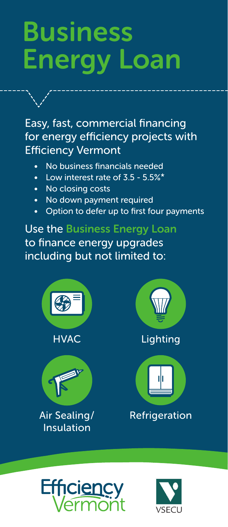# Business Energy Loan

Easy, fast, commercial financing for energy efficiency projects with Efficiency Vermont

- No business financials needed
- Low interest rate of 3.5 5.5%\*
- No closing costs
- No down payment required
- Option to defer up to first four payments

Use the Business Energy Loan to finance energy upgrades including but not limited to: